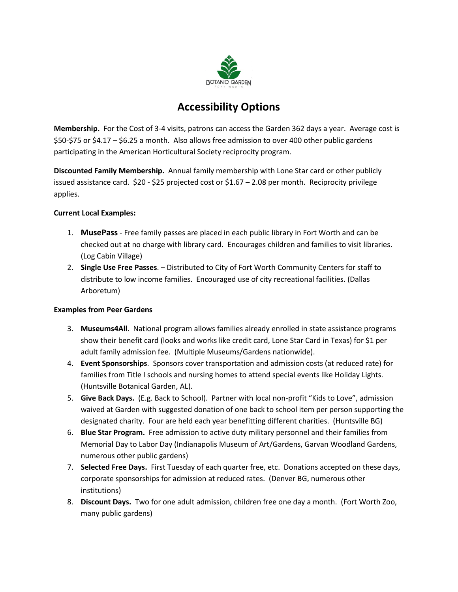

## **Accessibility Options**

**Membership.** For the Cost of 3-4 visits, patrons can access the Garden 362 days a year. Average cost is \$50-\$75 or \$4.17 – \$6.25 a month. Also allows free admission to over 400 other public gardens participating in the American Horticultural Society reciprocity program.

**Discounted Family Membership.** Annual family membership with Lone Star card or other publicly issued assistance card. \$20 - \$25 projected cost or \$1.67 – 2.08 per month. Reciprocity privilege applies.

## **Current Local Examples:**

- 1. **MusePass** Free family passes are placed in each public library in Fort Worth and can be checked out at no charge with library card. Encourages children and families to visit libraries. (Log Cabin Village)
- 2. **Single Use Free Passes**. Distributed to City of Fort Worth Community Centers for staff to distribute to low income families. Encouraged use of city recreational facilities. (Dallas Arboretum)

## **Examples from Peer Gardens**

- 3. **Museums4All**. National program allows families already enrolled in state assistance programs show their benefit card (looks and works like credit card, Lone Star Card in Texas) for \$1 per adult family admission fee. (Multiple Museums/Gardens nationwide).
- 4. **Event Sponsorships**. Sponsors cover transportation and admission costs (at reduced rate) for families from Title I schools and nursing homes to attend special events like Holiday Lights. (Huntsville Botanical Garden, AL).
- 5. **Give Back Days.** (E.g. Back to School). Partner with local non-profit "Kids to Love", admission waived at Garden with suggested donation of one back to school item per person supporting the designated charity. Four are held each year benefitting different charities. (Huntsville BG)
- 6. **Blue Star Program.** Free admission to active duty military personnel and their families from Memorial Day to Labor Day (Indianapolis Museum of Art/Gardens, Garvan Woodland Gardens, numerous other public gardens)
- 7. **Selected Free Days.** First Tuesday of each quarter free, etc. Donations accepted on these days, corporate sponsorships for admission at reduced rates. (Denver BG, numerous other institutions)
- 8. **Discount Days.** Two for one adult admission, children free one day a month. (Fort Worth Zoo, many public gardens)